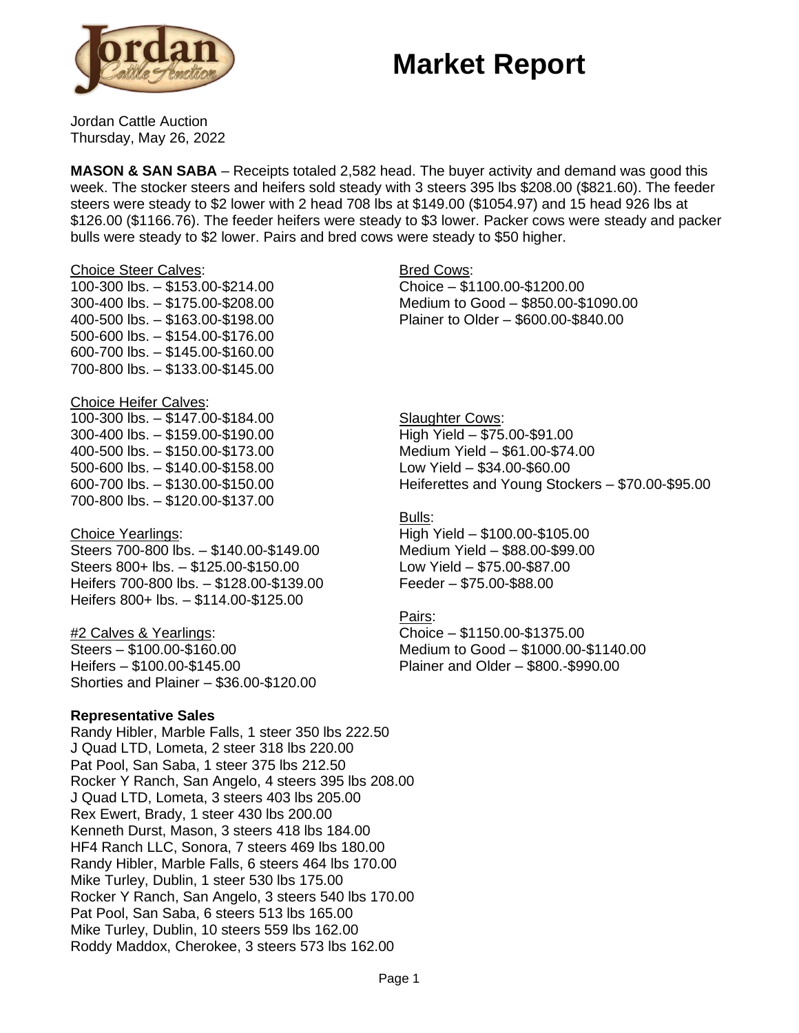# **Market Report**



Jordan Cattle Auction Thursday, May 26, 2022

**MASON & SAN SABA** – Receipts totaled 2,582 head. The buyer activity and demand was good this week. The stocker steers and heifers sold steady with 3 steers 395 lbs \$208.00 (\$821.60). The feeder steers were steady to \$2 lower with 2 head 708 lbs at \$149.00 (\$1054.97) and 15 head 926 lbs at \$126.00 (\$1166.76). The feeder heifers were steady to \$3 lower. Packer cows were steady and packer bulls were steady to \$2 lower. Pairs and bred cows were steady to \$50 higher.

#### Choice Steer Calves:

100-300 lbs. – \$153.00-\$214.00 300-400 lbs. – \$175.00-\$208.00 400-500 lbs. – \$163.00-\$198.00 500-600 lbs. – \$154.00-\$176.00 600-700 lbs. – \$145.00-\$160.00 700-800 lbs. – \$133.00-\$145.00

#### Choice Heifer Calves:

100-300 lbs. – \$147.00-\$184.00 300-400 lbs. – \$159.00-\$190.00 400-500 lbs. – \$150.00-\$173.00 500-600 lbs. – \$140.00-\$158.00 600-700 lbs. – \$130.00-\$150.00 700-800 lbs. – \$120.00-\$137.00

### Choice Yearlings:

Steers 700-800 lbs. – \$140.00-\$149.00 Steers 800+ lbs. – \$125.00-\$150.00 Heifers 700-800 lbs. – \$128.00-\$139.00 Heifers 800+ lbs. – \$114.00-\$125.00

#2 Calves & Yearlings: Steers – \$100.00-\$160.00 Heifers – \$100.00-\$145.00 Shorties and Plainer – \$36.00-\$120.00

## **Representative Sales**

Randy Hibler, Marble Falls, 1 steer 350 lbs 222.50 J Quad LTD, Lometa, 2 steer 318 lbs 220.00 Pat Pool, San Saba, 1 steer 375 lbs 212.50 Rocker Y Ranch, San Angelo, 4 steers 395 lbs 208.00 J Quad LTD, Lometa, 3 steers 403 lbs 205.00 Rex Ewert, Brady, 1 steer 430 lbs 200.00 Kenneth Durst, Mason, 3 steers 418 lbs 184.00 HF4 Ranch LLC, Sonora, 7 steers 469 lbs 180.00 Randy Hibler, Marble Falls, 6 steers 464 lbs 170.00 Mike Turley, Dublin, 1 steer 530 lbs 175.00 Rocker Y Ranch, San Angelo, 3 steers 540 lbs 170.00 Pat Pool, San Saba, 6 steers 513 lbs 165.00 Mike Turley, Dublin, 10 steers 559 lbs 162.00 Roddy Maddox, Cherokee, 3 steers 573 lbs 162.00

### **Bred Cows:**

Choice – \$1100.00-\$1200.00 Medium to Good – \$850.00-\$1090.00 Plainer to Older – \$600.00-\$840.00

**Slaughter Cows:** High Yield – \$75.00-\$91.00 Medium Yield – \$61.00-\$74.00 Low Yield – \$34.00-\$60.00 Heiferettes and Young Stockers – \$70.00-\$95.00

### Bulls:

High Yield – \$100.00-\$105.00 Medium Yield – \$88.00-\$99.00 Low Yield – \$75.00-\$87.00 Feeder – \$75.00-\$88.00

#### Pairs:

Choice – \$1150.00-\$1375.00 Medium to Good – \$1000.00-\$1140.00 Plainer and Older – \$800.-\$990.00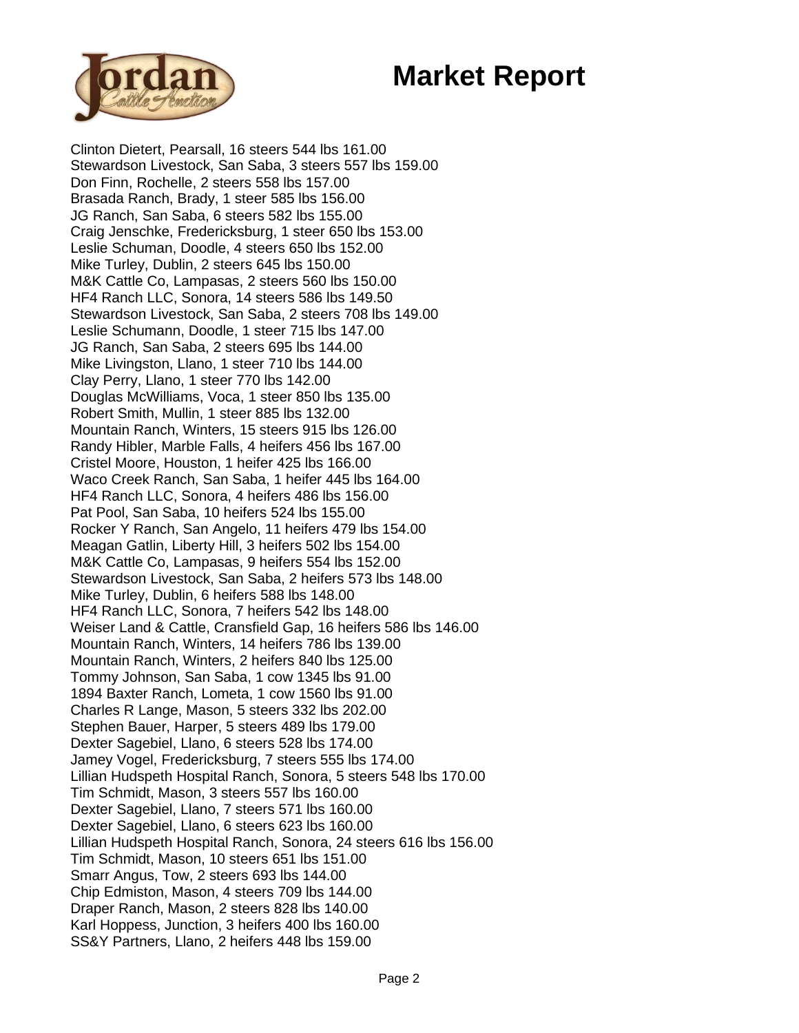# **Market Report**



Clinton Dietert, Pearsall, 16 steers 544 lbs 161.00 Stewardson Livestock, San Saba, 3 steers 557 lbs 159.00 Don Finn, Rochelle, 2 steers 558 lbs 157.00 Brasada Ranch, Brady, 1 steer 585 lbs 156.00 JG Ranch, San Saba, 6 steers 582 lbs 155.00 Craig Jenschke, Fredericksburg, 1 steer 650 lbs 153.00 Leslie Schuman, Doodle, 4 steers 650 lbs 152.00 Mike Turley, Dublin, 2 steers 645 lbs 150.00 M&K Cattle Co, Lampasas, 2 steers 560 lbs 150.00 HF4 Ranch LLC, Sonora, 14 steers 586 lbs 149.50 Stewardson Livestock, San Saba, 2 steers 708 lbs 149.00 Leslie Schumann, Doodle, 1 steer 715 lbs 147.00 JG Ranch, San Saba, 2 steers 695 lbs 144.00 Mike Livingston, Llano, 1 steer 710 lbs 144.00 Clay Perry, Llano, 1 steer 770 lbs 142.00 Douglas McWilliams, Voca, 1 steer 850 lbs 135.00 Robert Smith, Mullin, 1 steer 885 lbs 132.00 Mountain Ranch, Winters, 15 steers 915 lbs 126.00 Randy Hibler, Marble Falls, 4 heifers 456 lbs 167.00 Cristel Moore, Houston, 1 heifer 425 lbs 166.00 Waco Creek Ranch, San Saba, 1 heifer 445 lbs 164.00 HF4 Ranch LLC, Sonora, 4 heifers 486 lbs 156.00 Pat Pool, San Saba, 10 heifers 524 lbs 155.00 Rocker Y Ranch, San Angelo, 11 heifers 479 lbs 154.00 Meagan Gatlin, Liberty Hill, 3 heifers 502 lbs 154.00 M&K Cattle Co, Lampasas, 9 heifers 554 lbs 152.00 Stewardson Livestock, San Saba, 2 heifers 573 lbs 148.00 Mike Turley, Dublin, 6 heifers 588 lbs 148.00 HF4 Ranch LLC, Sonora, 7 heifers 542 lbs 148.00 Weiser Land & Cattle, Cransfield Gap, 16 heifers 586 lbs 146.00 Mountain Ranch, Winters, 14 heifers 786 lbs 139.00 Mountain Ranch, Winters, 2 heifers 840 lbs 125.00 Tommy Johnson, San Saba, 1 cow 1345 lbs 91.00 1894 Baxter Ranch, Lometa, 1 cow 1560 lbs 91.00 Charles R Lange, Mason, 5 steers 332 lbs 202.00 Stephen Bauer, Harper, 5 steers 489 lbs 179.00 Dexter Sagebiel, Llano, 6 steers 528 lbs 174.00 Jamey Vogel, Fredericksburg, 7 steers 555 lbs 174.00 Lillian Hudspeth Hospital Ranch, Sonora, 5 steers 548 lbs 170.00 Tim Schmidt, Mason, 3 steers 557 lbs 160.00 Dexter Sagebiel, Llano, 7 steers 571 lbs 160.00 Dexter Sagebiel, Llano, 6 steers 623 lbs 160.00 Lillian Hudspeth Hospital Ranch, Sonora, 24 steers 616 lbs 156.00 Tim Schmidt, Mason, 10 steers 651 lbs 151.00 Smarr Angus, Tow, 2 steers 693 lbs 144.00 Chip Edmiston, Mason, 4 steers 709 lbs 144.00 Draper Ranch, Mason, 2 steers 828 lbs 140.00 Karl Hoppess, Junction, 3 heifers 400 lbs 160.00 SS&Y Partners, Llano, 2 heifers 448 lbs 159.00